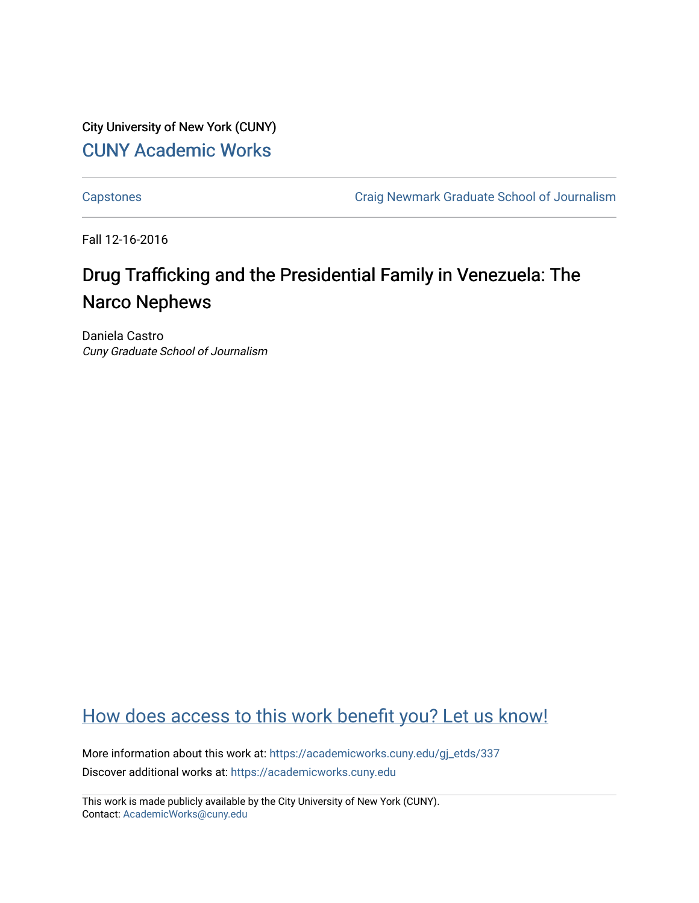City University of New York (CUNY) [CUNY Academic Works](https://academicworks.cuny.edu/) 

[Capstones](https://academicworks.cuny.edu/gj_etds) [Craig Newmark Graduate School of Journalism](https://academicworks.cuny.edu/gj) 

Fall 12-16-2016

# Drug Trafficking and the Presidential Family in Venezuela: The Narco Nephews

Daniela Castro Cuny Graduate School of Journalism

# [How does access to this work benefit you? Let us know!](http://ols.cuny.edu/academicworks/?ref=https://academicworks.cuny.edu/gj_etds/337)

More information about this work at: [https://academicworks.cuny.edu/gj\\_etds/337](https://academicworks.cuny.edu/gj_etds/337)  Discover additional works at: [https://academicworks.cuny.edu](https://academicworks.cuny.edu/?)

This work is made publicly available by the City University of New York (CUNY). Contact: [AcademicWorks@cuny.edu](mailto:AcademicWorks@cuny.edu)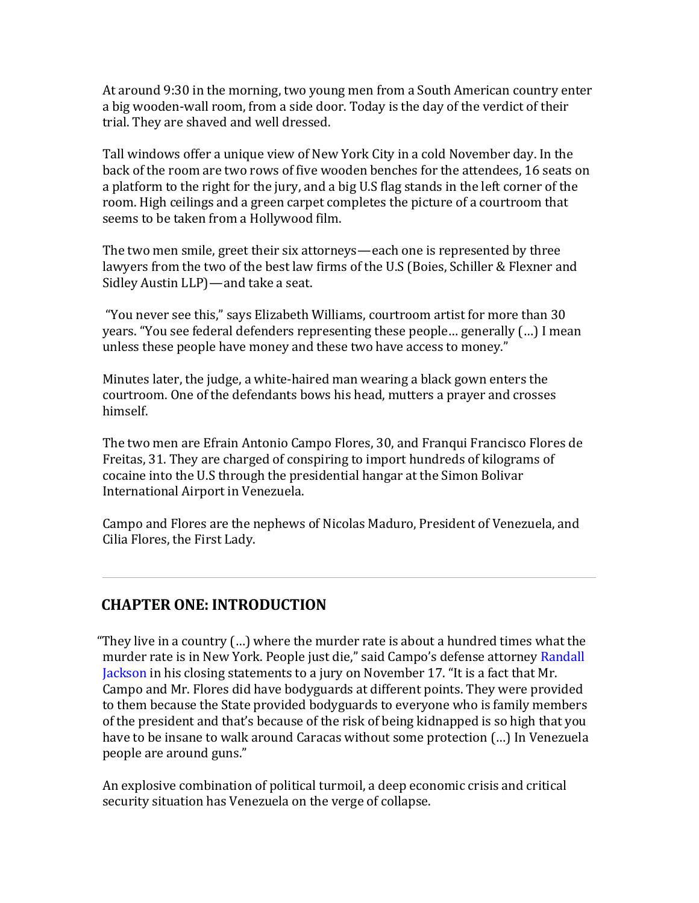At around 9:30 in the morning, two young men from a South American country enter a big wooden-wall room, from a side door. Today is the day of the verdict of their trial. They are shaved and well dressed.

Tall windows offer a unique view of New York City in a cold November day. In the back of the room are two rows of five wooden benches for the attendees, 16 seats on a platform to the right for the jury, and a big U.S flag stands in the left corner of the room. High ceilings and a green carpet completes the picture of a courtroom that seems to be taken from a Hollywood film.

The two men smile, greet their six attorneys—each one is represented by three lawyers from the two of the best law firms of the U.S (Boies, Schiller & Flexner and Sidley Austin LLP) — and take a seat.

"You never see this," says Elizabeth Williams, courtroom artist for more than 30 years. "You see federal defenders representing these people... generally (...) I mean unless these people have money and these two have access to money."

Minutes later, the judge, a white-haired man wearing a black gown enters the courtroom. One of the defendants bows his head, mutters a prayer and crosses himself.

The two men are Efrain Antonio Campo Flores, 30, and Franqui Francisco Flores de Freitas, 31. They are charged of conspiring to import hundreds of kilograms of cocaine into the U.S through the presidential hangar at the Simon Bolivar International Airport in Venezuela.

Campo and Flores are the nephews of Nicolas Maduro, President of Venezuela, and Cilia Flores, the First Lady.

#### **CHAPTER ONE: INTRODUCTION**

"They live in a country  $(...)$  where the murder rate is about a hundred times what the murder rate is in New York. People just die," said Campo's defense attorney Randall Jackson in his closing statements to a jury on November 17. "It is a fact that Mr. Campo and Mr. Flores did have bodyguards at different points. They were provided to them because the State provided bodyguards to everyone who is family members of the president and that's because of the risk of being kidnapped is so high that you have to be insane to walk around Caracas without some protection (...) In Venezuela people are around guns."

An explosive combination of political turmoil, a deep economic crisis and critical security situation has Venezuela on the verge of collapse.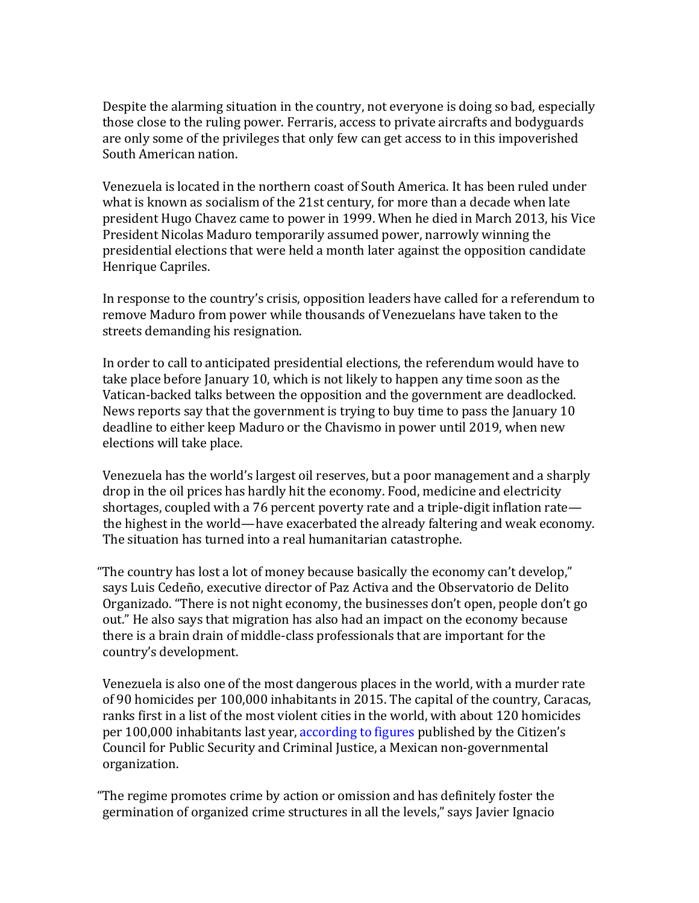Despite the alarming situation in the country, not everyone is doing so bad, especially those close to the ruling power. Ferraris, access to private aircrafts and bodyguards are only some of the privileges that only few can get access to in this impoverished South American nation.

Venezuela is located in the northern coast of South America. It has been ruled under what is known as socialism of the 21st century, for more than a decade when late president Hugo Chavez came to power in 1999. When he died in March 2013, his Vice President Nicolas Maduro temporarily assumed power, narrowly winning the presidential elections that were held a month later against the opposition candidate Henrique Capriles.

In response to the country's crisis, opposition leaders have called for a referendum to remove Maduro from power while thousands of Venezuelans have taken to the streets demanding his resignation.

In order to call to anticipated presidential elections, the referendum would have to take place before January 10, which is not likely to happen any time soon as the Vatican-backed talks between the opposition and the government are deadlocked. News reports say that the government is trying to buy time to pass the January 10 deadline to either keep Maduro or the Chavismo in power until 2019, when new elections will take place.

Venezuela has the world's largest oil reserves, but a poor management and a sharply drop in the oil prices has hardly hit the economy. Food, medicine and electricity shortages, coupled with a 76 percent poverty rate and a triple-digit inflation rate the highest in the world—have exacerbated the already faltering and weak economy. The situation has turned into a real humanitarian catastrophe.

"The country has lost a lot of money because basically the economy can't develop." says Luis Cedeño, executive director of Paz Activa and the Observatorio de Delito Organizado. "There is not night economy, the businesses don't open, people don't go out." He also says that migration has also had an impact on the economy because there is a brain drain of middle-class professionals that are important for the country's development.

Venezuela is also one of the most dangerous places in the world, with a murder rate of 90 homicides per 100,000 inhabitants in 2015. The capital of the country, Caracas, ranks first in a list of the most violent cities in the world, with about 120 homicides per 100,000 inhabitants last year, according to figures published by the Citizen's Council for Public Security and Criminal Justice, a Mexican non-governmental organization.

"The regime promotes crime by action or omission and has definitely foster the germination of organized crime structures in all the levels," says Javier Ignacio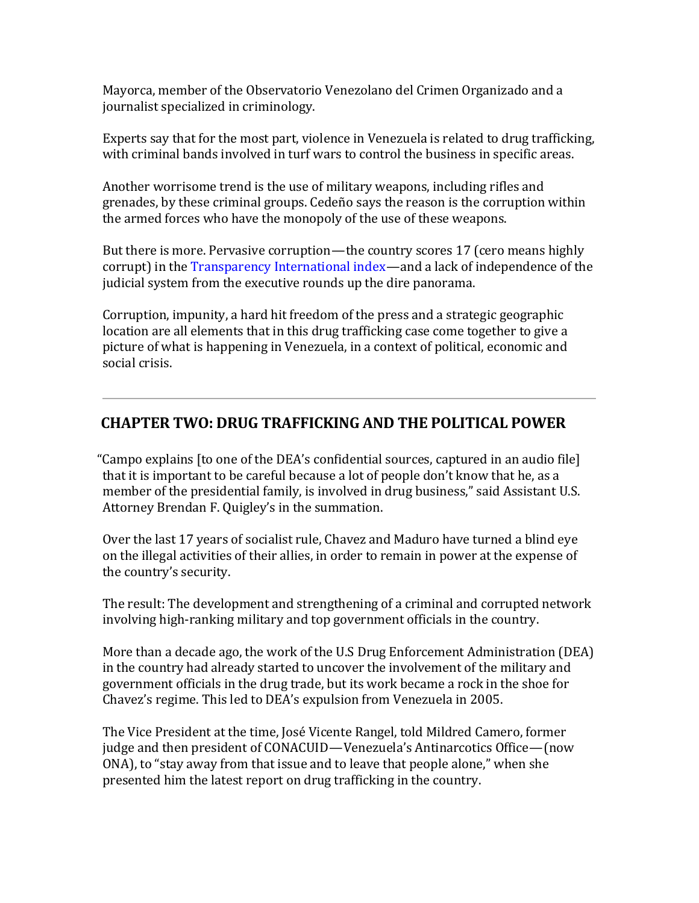Mayorca, member of the Observatorio Venezolano del Crimen Organizado and a journalist specialized in criminology.

Experts say that for the most part, violence in Venezuela is related to drug trafficking, with criminal bands involved in turf wars to control the business in specific areas.

Another worrisome trend is the use of military weapons, including rifles and grenades, by these criminal groups. Cedeño says the reason is the corruption within the armed forces who have the monopoly of the use of these weapons.

But there is more. Pervasive corruption—the country scores 17 (cero means highly corrupt) in the Transparency International index—and a lack of independence of the judicial system from the executive rounds up the dire panorama.

Corruption, impunity, a hard hit freedom of the press and a strategic geographic location are all elements that in this drug trafficking case come together to give a picture of what is happening in Venezuela, in a context of political, economic and social crisis.

# **CHAPTER TWO: DRUG TRAFFICKING AND THE POLITICAL POWER**

"Campo explains [to one of the  $DEA$ 's confidential sources, captured in an audio file] that it is important to be careful because a lot of people don't know that he, as a member of the presidential family, is involved in drug business," said Assistant U.S. Attorney Brendan F. Quigley's in the summation.

Over the last 17 years of socialist rule, Chavez and Maduro have turned a blind eye on the illegal activities of their allies, in order to remain in power at the expense of the country's security.

The result: The development and strengthening of a criminal and corrupted network involving high-ranking military and top government officials in the country.

More than a decade ago, the work of the U.S Drug Enforcement Administration (DEA) in the country had already started to uncover the involvement of the military and government officials in the drug trade, but its work became a rock in the shoe for Chavez's regime. This led to DEA's expulsion from Venezuela in 2005.

The Vice President at the time, José Vicente Rangel, told Mildred Camero, former judge and then president of CONACUID—Venezuela's Antinarcotics Office—(now ONA), to "stay away from that issue and to leave that people alone," when she presented him the latest report on drug trafficking in the country.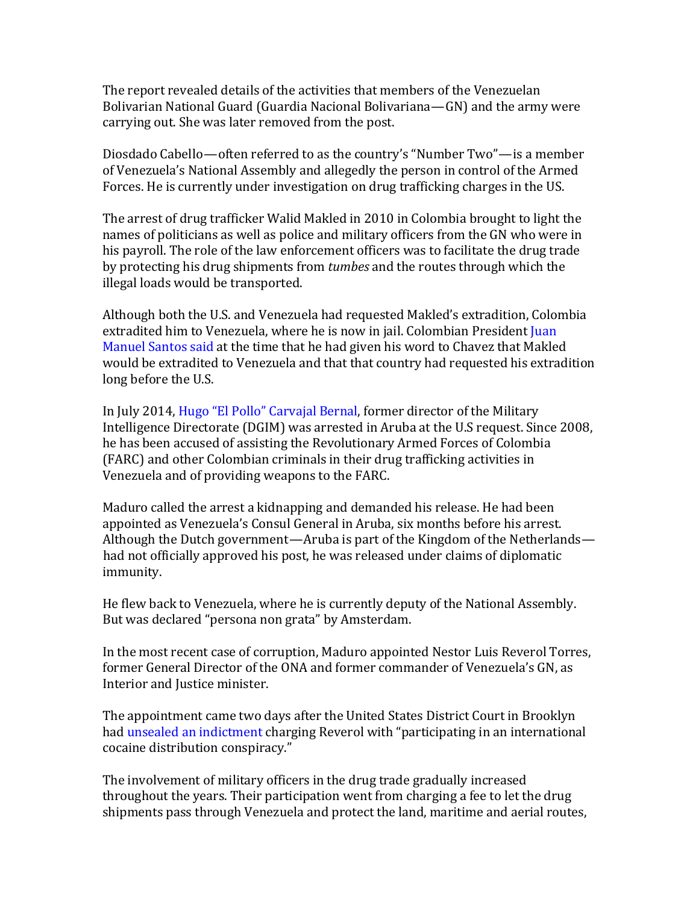The report revealed details of the activities that members of the Venezuelan Bolivarian National Guard (Guardia Nacional Bolivariana— $GN$ ) and the army were carrying out. She was later removed from the post.

Diosdado Cabello—often referred to as the country's "Number Two"— is a member of Venezuela's National Assembly and allegedly the person in control of the Armed Forces. He is currently under investigation on drug trafficking charges in the US.

The arrest of drug trafficker Walid Makled in 2010 in Colombia brought to light the names of politicians as well as police and military officers from the GN who were in his payroll. The role of the law enforcement officers was to facilitate the drug trade by protecting his drug shipments from *tumbes* and the routes through which the illegal loads would be transported.

Although both the U.S. and Venezuela had requested Makled's extradition, Colombia extradited him to Venezuela, where he is now in jail. Colombian President Juan Manuel Santos said at the time that he had given his word to Chavez that Makled would be extradited to Venezuela and that that country had requested his extradition long before the U.S.

In July 2014, Hugo "El Pollo" Carvajal Bernal, former director of the Military Intelligence Directorate (DGIM) was arrested in Aruba at the U.S request. Since 2008, he has been accused of assisting the Revolutionary Armed Forces of Colombia (FARC) and other Colombian criminals in their drug trafficking activities in Venezuela and of providing weapons to the FARC.

Maduro called the arrest a kidnapping and demanded his release. He had been appointed as Venezuela's Consul General in Aruba, six months before his arrest. Although the Dutch government—Aruba is part of the Kingdom of the Netherlands had not officially approved his post, he was released under claims of diplomatic immunity.

He flew back to Venezuela, where he is currently deputy of the National Assembly. But was declared "persona non grata" by Amsterdam.

In the most recent case of corruption, Maduro appointed Nestor Luis Reverol Torres, former General Director of the ONA and former commander of Venezuela's GN, as Interior and Justice minister.

The appointment came two days after the United States District Court in Brooklyn had unsealed an indictment charging Reverol with "participating in an international cocaine distribution conspiracy."

The involvement of military officers in the drug trade gradually increased throughout the years. Their participation went from charging a fee to let the drug shipments pass through Venezuela and protect the land, maritime and aerial routes,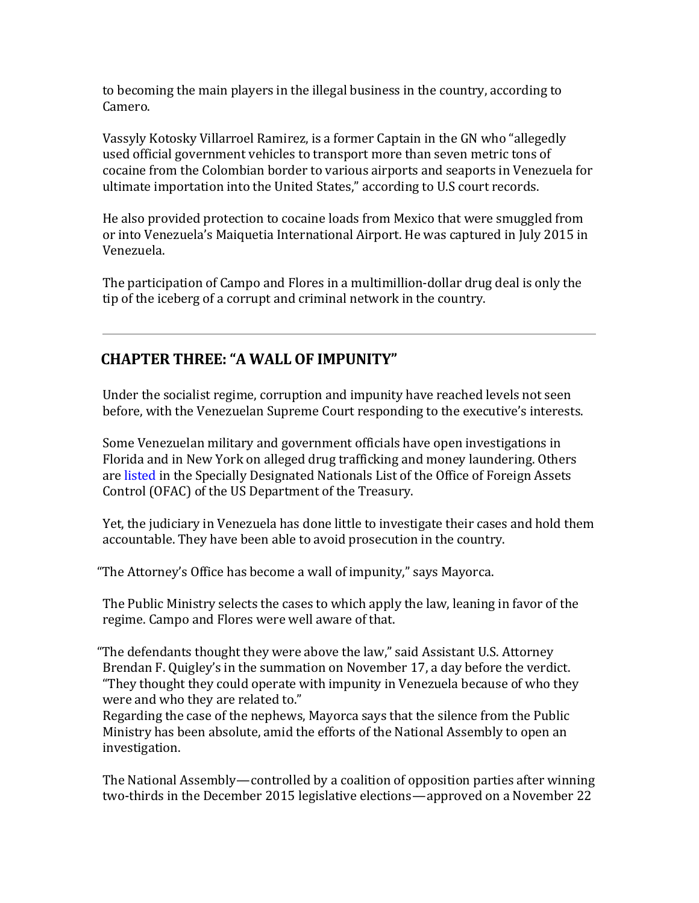to becoming the main players in the illegal business in the country, according to Camero.

Vassyly Kotosky Villarroel Ramirez, is a former Captain in the GN who "allegedly used official government vehicles to transport more than seven metric tons of cocaine from the Colombian border to various airports and seaports in Venezuela for ultimate importation into the United States," according to U.S court records.

He also provided protection to cocaine loads from Mexico that were smuggled from or into Venezuela's Maiquetia International Airport. He was captured in July 2015 in Venezuela.

The participation of Campo and Flores in a multimillion-dollar drug deal is only the tip of the iceberg of a corrupt and criminal network in the country.

# **CHAPTER THREE: "A WALL OF IMPUNITY"**

Under the socialist regime, corruption and impunity have reached levels not seen before, with the Venezuelan Supreme Court responding to the executive's interests.

Some Venezuelan military and government officials have open investigations in Florida and in New York on alleged drug trafficking and money laundering. Others are listed in the Specially Designated Nationals List of the Office of Foreign Assets Control (OFAC) of the US Department of the Treasury.

Yet, the judiciary in Venezuela has done little to investigate their cases and hold them accountable. They have been able to avoid prosecution in the country.

"The Attorney's Office has become a wall of impunity," says Mayorca.

The Public Ministry selects the cases to which apply the law, leaning in favor of the regime. Campo and Flores were well aware of that.

"The defendants thought they were above the law," said Assistant U.S. Attorney Brendan F. Quigley's in the summation on November 17, a day before the verdict. "They thought they could operate with impunity in Venezuela because of who they were and who they are related to."

Regarding the case of the nephews, Mayorca says that the silence from the Public Ministry has been absolute, amid the efforts of the National Assembly to open an investigation.

The National Assembly—controlled by a coalition of opposition parties after winning two-thirds in the December 2015 legislative elections—approved on a November 22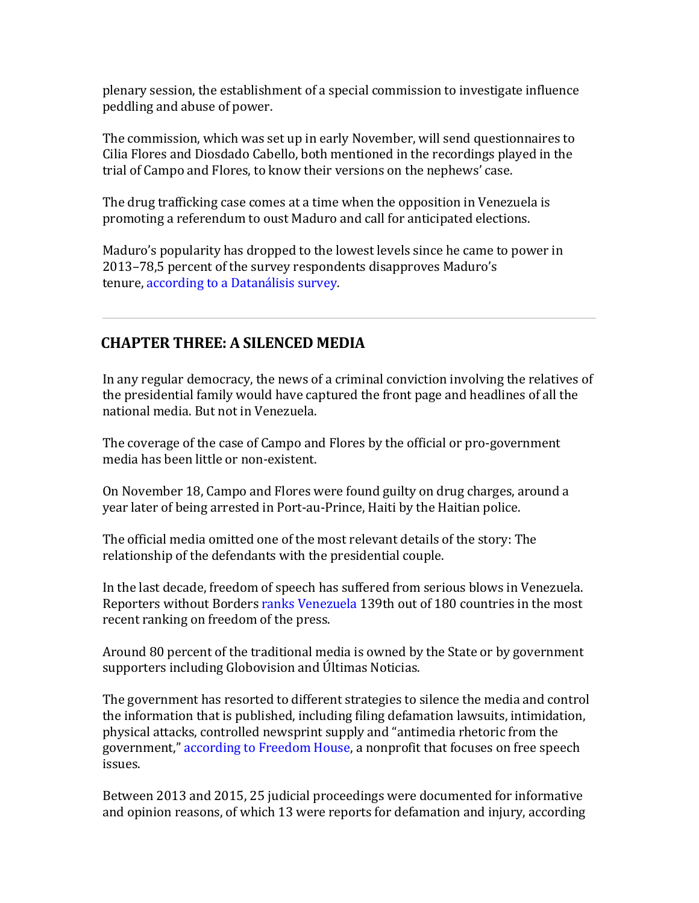plenary session, the establishment of a special commission to investigate influence peddling and abuse of power.

The commission, which was set up in early November, will send questionnaires to Cilia Flores and Diosdado Cabello, both mentioned in the recordings played in the trial of Campo and Flores, to know their versions on the nephews' case.

The drug trafficking case comes at a time when the opposition in Venezuela is promoting a referendum to oust Maduro and call for anticipated elections.

Maduro's popularity has dropped to the lowest levels since he came to power in 2013–78.5 percent of the survey respondents disapproves Maduro's tenure, according to a Datanálisis survey.

# **CHAPTER THREE: A SILENCED MEDIA**

In any regular democracy, the news of a criminal conviction involving the relatives of the presidential family would have captured the front page and headlines of all the national media. But not in Venezuela.

The coverage of the case of Campo and Flores by the official or pro-government media has been little or non-existent.

On November 18, Campo and Flores were found guilty on drug charges, around a year later of being arrested in Port-au-Prince, Haiti by the Haitian police.

The official media omitted one of the most relevant details of the story: The relationship of the defendants with the presidential couple.

In the last decade, freedom of speech has suffered from serious blows in Venezuela. Reporters without Borders ranks Venezuela 139th out of 180 countries in the most recent ranking on freedom of the press.

Around 80 percent of the traditional media is owned by the State or by government supporters including Globovision and Últimas Noticias.

The government has resorted to different strategies to silence the media and control the information that is published, including filing defamation lawsuits, intimidation, physical attacks, controlled newsprint supply and "antimedia rhetoric from the government," according to Freedom House, a nonprofit that focuses on free speech issues.

Between 2013 and 2015, 25 judicial proceedings were documented for informative and opinion reasons, of which 13 were reports for defamation and injury, according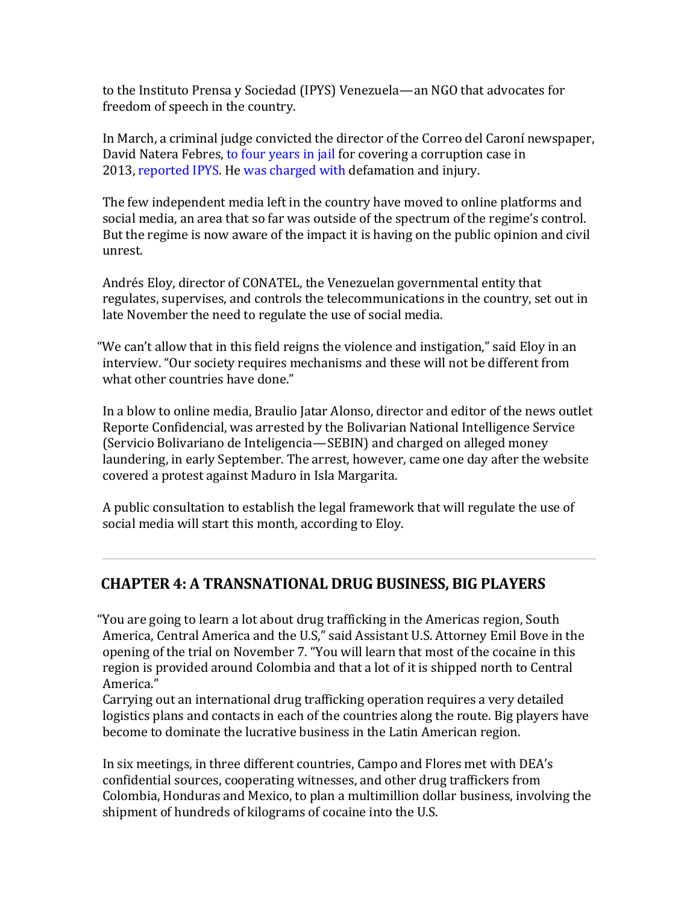to the Instituto Prensa y Sociedad (IPYS) Venezuela—an NGO that advocates for freedom of speech in the country.

In March, a criminal judge convicted the director of the Correo del Caroní newspaper, David Natera Febres, to four years in jail for covering a corruption case in 2013, reported IPYS. He was charged with defamation and injury.

The few independent media left in the country have moved to online platforms and social media, an area that so far was outside of the spectrum of the regime's control. But the regime is now aware of the impact it is having on the public opinion and civil unrest.

Andrés Eloy, director of CONATEL, the Venezuelan governmental entity that regulates, supervises, and controls the telecommunications in the country, set out in late November the need to regulate the use of social media.

"We can't allow that in this field reigns the violence and instigation," said Eloy in an interview. "Our society requires mechanisms and these will not be different from what other countries have done."

In a blow to online media, Braulio Jatar Alonso, director and editor of the news outlet Reporte Confidencial, was arrested by the Bolivarian National Intelligence Service (Servicio Bolivariano de Inteligencia—SEBIN) and charged on alleged money laundering, in early September. The arrest, however, came one day after the website covered a protest against Maduro in Isla Margarita.

A public consultation to establish the legal framework that will regulate the use of social media will start this month, according to Eloy.

#### **CHAPTER 4: A TRANSNATIONAL DRUG BUSINESS, BIG PLAYERS**

"You are going to learn a lot about drug trafficking in the Americas region, South America, Central America and the U.S," said Assistant U.S. Attorney Emil Bove in the opening of the trial on November 7. "You will learn that most of the cocaine in this region is provided around Colombia and that a lot of it is shipped north to Central America."

Carrying out an international drug trafficking operation requires a very detailed logistics plans and contacts in each of the countries along the route. Big players have become to dominate the lucrative business in the Latin American region.

In six meetings, in three different countries, Campo and Flores met with DEA's confidential sources, cooperating witnesses, and other drug traffickers from Colombia, Honduras and Mexico, to plan a multimillion dollar business, involving the shipment of hundreds of kilograms of cocaine into the U.S.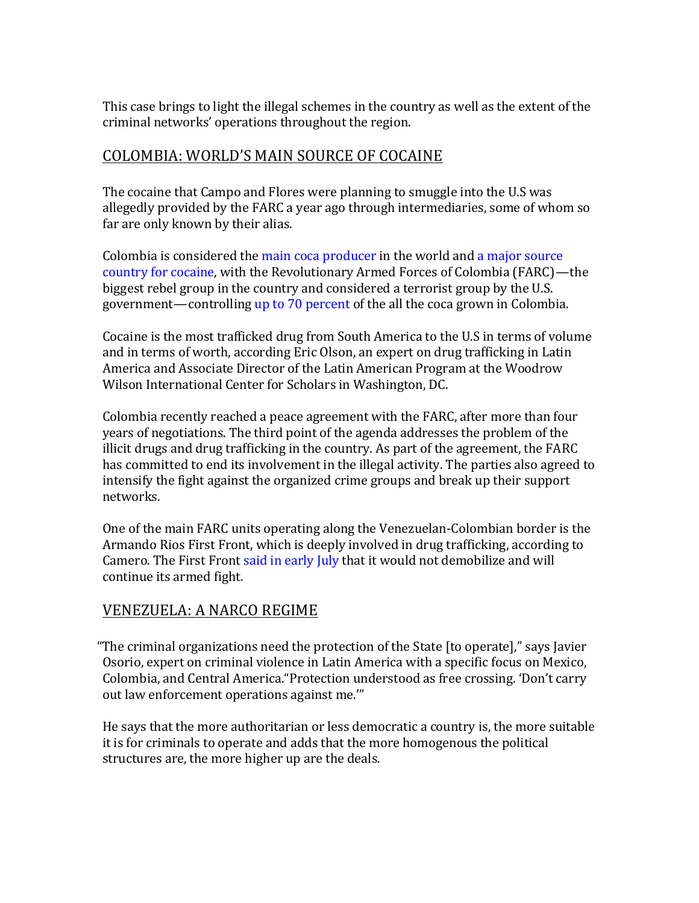This case brings to light the illegal schemes in the country as well as the extent of the criminal networks' operations throughout the region.

### COLOMBIA: WORLD'S MAIN SOURCE OF COCAINE

The cocaine that Campo and Flores were planning to smuggle into the U.S was allegedly provided by the FARC a year ago through intermediaries, some of whom so far are only known by their alias.

Colombia is considered the main coca producer in the world and a major source country for cocaine, with the Revolutionary Armed Forces of Colombia (FARC)—the biggest rebel group in the country and considered a terrorist group by the U.S. government—controlling up to 70 percent of the all the coca grown in Colombia.

Cocaine is the most trafficked drug from South America to the U.S in terms of volume and in terms of worth, according Eric Olson, an expert on drug trafficking in Latin America and Associate Director of the Latin American Program at the Woodrow Wilson International Center for Scholars in Washington, DC.

Colombia recently reached a peace agreement with the FARC, after more than four years of negotiations. The third point of the agenda addresses the problem of the illicit drugs and drug trafficking in the country. As part of the agreement, the FARC has committed to end its involvement in the illegal activity. The parties also agreed to intensify the fight against the organized crime groups and break up their support networks.

One of the main FARC units operating along the Venezuelan-Colombian border is the Armando Rios First Front, which is deeply involved in drug trafficking, according to Camero. The First Front said in early July that it would not demobilize and will continue its armed fight.

# VENEZUELA: A NARCO REGIME

"The criminal organizations need the protection of the State [to operate]," says Javier Osorio, expert on criminal violence in Latin America with a specific focus on Mexico, Colombia, and Central America."Protection understood as free crossing. 'Don't carry out law enforcement operations against me."

He says that the more authoritarian or less democratic a country is, the more suitable it is for criminals to operate and adds that the more homogenous the political structures are, the more higher up are the deals.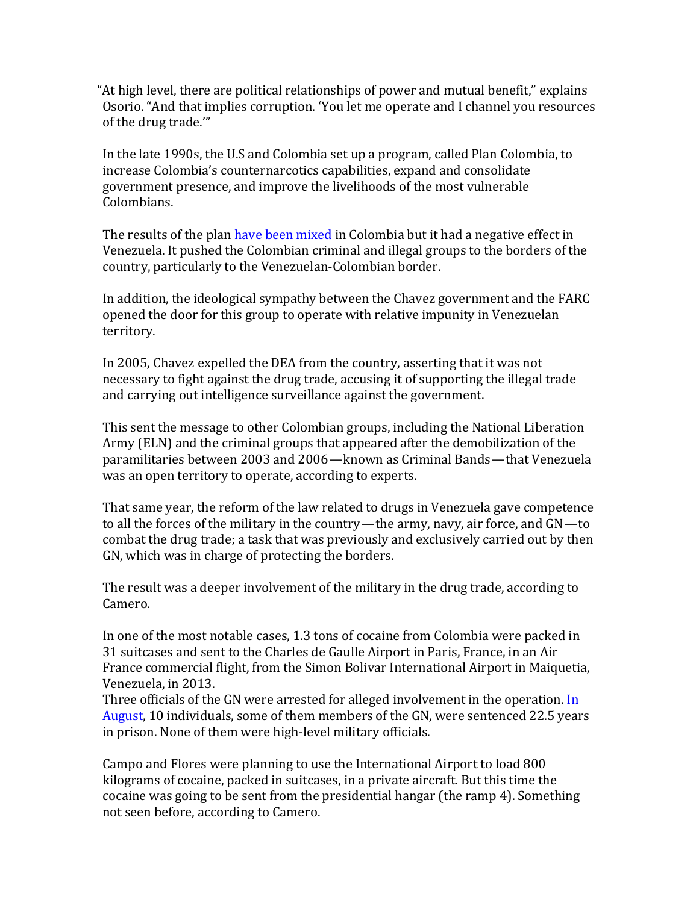"At high level, there are political relationships of power and mutual benefit," explains Osorio. "And that implies corruption. 'You let me operate and I channel you resources of the drug trade.""

In the late 1990s, the U.S and Colombia set up a program, called Plan Colombia, to increase Colombia's counternarcotics capabilities, expand and consolidate government presence, and improve the livelihoods of the most vulnerable Colombians.

The results of the plan have been mixed in Colombia but it had a negative effect in Venezuela. It pushed the Colombian criminal and illegal groups to the borders of the country, particularly to the Venezuelan-Colombian border.

In addition, the ideological sympathy between the Chavez government and the FARC opened the door for this group to operate with relative impunity in Venezuelan territory.

In 2005, Chavez expelled the DEA from the country, asserting that it was not necessary to fight against the drug trade, accusing it of supporting the illegal trade and carrying out intelligence surveillance against the government.

This sent the message to other Colombian groups, including the National Liberation Army (ELN) and the criminal groups that appeared after the demobilization of the paramilitaries between 2003 and 2006—known as Criminal Bands—that Venezuela was an open territory to operate, according to experts.

That same year, the reform of the law related to drugs in Venezuela gave competence to all the forces of the military in the country—the army, navy, air force, and  $GN$ —to combat the drug trade; a task that was previously and exclusively carried out by then GN, which was in charge of protecting the borders.

The result was a deeper involvement of the military in the drug trade, according to Camero.

In one of the most notable cases, 1.3 tons of cocaine from Colombia were packed in 31 suitcases and sent to the Charles de Gaulle Airport in Paris, France, in an Air France commercial flight, from the Simon Bolivar International Airport in Maiquetia, Venezuela, in 2013.

Three officials of the GN were arrested for alleged involvement in the operation. In August, 10 individuals, some of them members of the GN, were sentenced 22.5 years in prison. None of them were high-level military officials.

Campo and Flores were planning to use the International Airport to load 800 kilograms of cocaine, packed in suitcases, in a private aircraft. But this time the cocaine was going to be sent from the presidential hangar (the ramp 4). Something not seen before, according to Camero.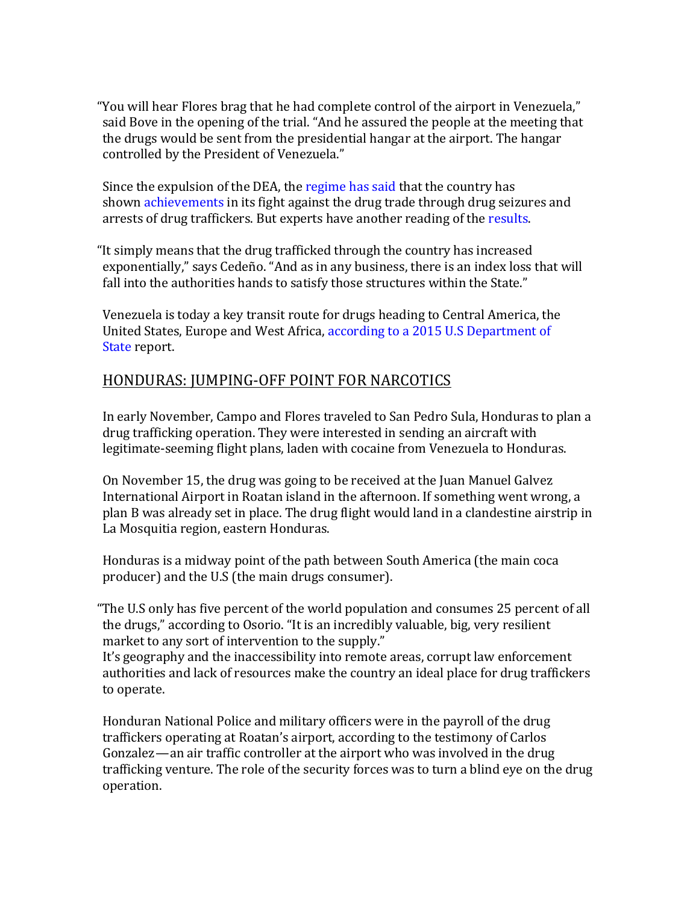"You will hear Flores brag that he had complete control of the airport in Venezuela," said Bove in the opening of the trial. "And he assured the people at the meeting that the drugs would be sent from the presidential hangar at the airport. The hangar controlled by the President of Venezuela."

Since the expulsion of the DEA, the regime has said that the country has shown achievements in its fight against the drug trade through drug seizures and arrests of drug traffickers. But experts have another reading of the results.

"It simply means that the drug trafficked through the country has increased exponentially," says Cedeño. "And as in any business, there is an index loss that will fall into the authorities hands to satisfy those structures within the State."

Venezuela is today a key transit route for drugs heading to Central America, the United States, Europe and West Africa, according to a 2015 U.S Department of State report.

#### HONDURAS: JUMPING-OFF POINT FOR NARCOTICS

In early November, Campo and Flores traveled to San Pedro Sula, Honduras to plan a drug trafficking operation. They were interested in sending an aircraft with legitimate-seeming flight plans, laden with cocaine from Venezuela to Honduras.

On November 15, the drug was going to be received at the Juan Manuel Galvez International Airport in Roatan island in the afternoon. If something went wrong, a plan B was already set in place. The drug flight would land in a clandestine airstrip in La Mosquitia region, eastern Honduras.

Honduras is a midway point of the path between South America (the main coca producer) and the U.S (the main drugs consumer).

"The U.S only has five percent of the world population and consumes 25 percent of all the drugs," according to Osorio. "It is an incredibly valuable, big, very resilient market to any sort of intervention to the supply."

It's geography and the inaccessibility into remote areas, corrupt law enforcement authorities and lack of resources make the country an ideal place for drug traffickers to operate.

Honduran National Police and military officers were in the payroll of the drug traffickers operating at Roatan's airport, according to the testimony of Carlos Gonzalez—an air traffic controller at the airport who was involved in the drug trafficking venture. The role of the security forces was to turn a blind eye on the drug operation.